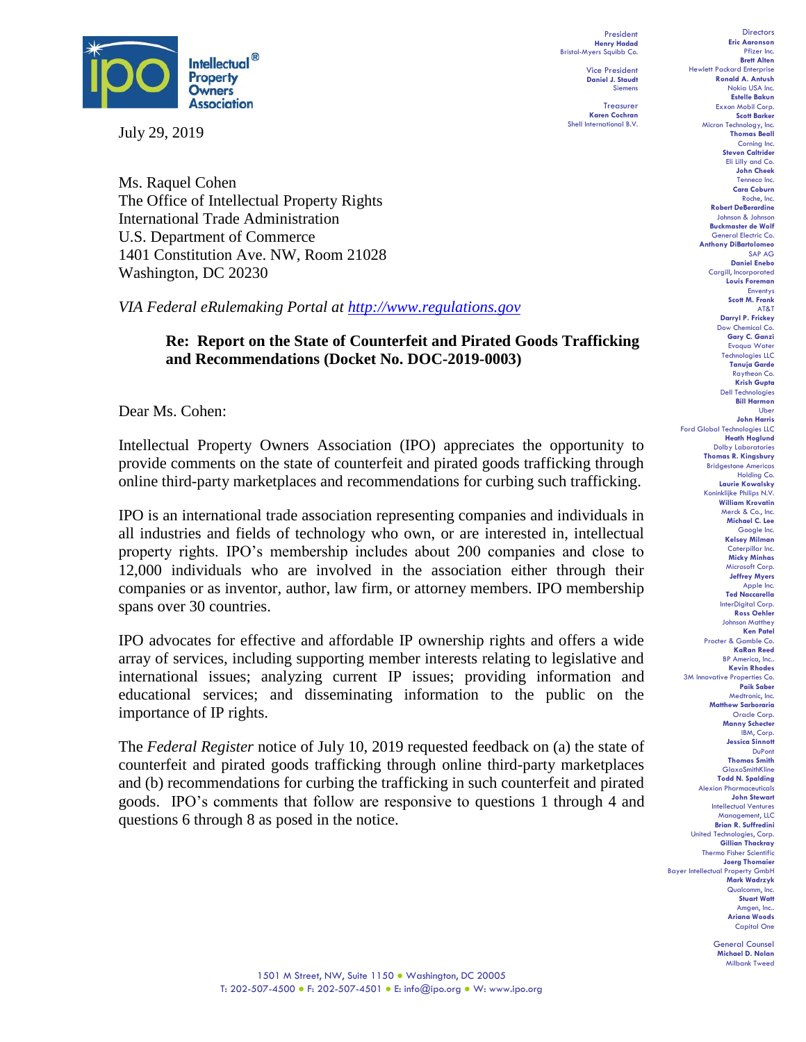

July 29, 2019

Ms. Raquel Cohen The Office of Intellectual Property Rights International Trade Administration U.S. Department of Commerce 1401 Constitution Ave. NW, Room 21028 Washington, DC 20230

*VIA Federal eRulemaking Portal at [http://www.regulations.gov](http://www.regulations.gov/)*

## **Re: Report on the State of Counterfeit and Pirated Goods Trafficking and Recommendations (Docket No. DOC-2019-0003)**

Dear Ms. Cohen:

Intellectual Property Owners Association (IPO) appreciates the opportunity to provide comments on the state of counterfeit and pirated goods trafficking through online third-party marketplaces and recommendations for curbing such trafficking.

IPO is an international trade association representing companies and individuals in all industries and fields of technology who own, or are interested in, intellectual property rights. IPO's membership includes about 200 companies and close to 12,000 individuals who are involved in the association either through their companies or as inventor, author, law firm, or attorney members. IPO membership spans over 30 countries.

IPO advocates for effective and affordable IP ownership rights and offers a wide array of services, including supporting member interests relating to legislative and international issues; analyzing current IP issues; providing information and educational services; and disseminating information to the public on the importance of IP rights.

The *Federal Register* notice of July 10, 2019 requested feedback on (a) the state of counterfeit and pirated goods trafficking through online third-party marketplaces and (b) recommendations for curbing the trafficking in such counterfeit and pirated goods. IPO's comments that follow are responsive to questions 1 through 4 and questions 6 through 8 as posed in the notice.

President **Henry Hadad** Bristol-Myers Squibb Co. Vice President

> **Daniel J. Staudt** Siemens Treasurer

**Karen Cochran** Shell International B.V.

**Directors Eric Aaronson**  Pfizer Inc. **Brett Alten** Hewlett Packard Enterprise **Ronald A. Antush** Nokia USA Inc. **Estelle Bakun** Exxon Mobil Corp. **Scott Barker** Micron Technology, Inc. **Thomas Beall** Corning Inc. **Steven Caltrider** Eli Lilly and Co. **John Cheek** Tenneco Inc. **Cara Coburn** Roche, Inc. **Robert DeBerardine** Johnson & Johnson **Buckmaster de Wolf** General Electric Co. **Anthony DiBartolomeo** SAP AG **Daniel Enebo** Cargill, Incorporated **Louis Foreman** Enventys **Scott M. Frank** AT&T **Darryl P. Frickey** Dow Chemical Co. **Gary C. Ganzi** Evoqua Water Technologies LLC **Tanuja Garde** Raytheon Co. **Krish Gupta** Dell Technologies **Bill Harmon** Uber **John Harris** Ford Global Technologies LLC **Heath Hoglund** Dolby Laboratories **Thomas R. Kingsbury** Bridgestone Americas Holding Co. **Laurie Kowalsky** Koninklijke Philips N.V. **William Krovatin** Merck & Co., Inc. **Michael C. Lee** Google Inc. **Kelsey Milman** Caterpillar Inc. **Micky Minhas** Microsoft Corp. **Jeffrey Myers** Apple Inc. **Ted Naccarella** InterDigital Corp. **Ross Oehler** Johnson Matthey **Ken Patel** Procter & Gamble Co. **KaRan Reed** BP America, Inc.. **Kevin Rhodes** 3M Innovative Properties Co. **Paik Saber** Medtronic, Inc. **Matthew Sarboraria** Oracle Corp. **Manny Schecter** IBM, Corp. **Jessica Sinnott** DuPont **Thomas Smith GlaxoSmithKline Todd N. Spalding** Alexion Pharmaceuticals **John Stewart** Intellectual Ventures Management, LLC **Brian R. Suffredini** United Technologies, Corp. **Gillian Thackray** Thermo Fisher Scientific **Joerg Thomaier** Bayer Intellectual Property GmbH **Mark Wadrzyk** Qualcomm, Inc. **Stuart Watt** Amgen, Inc.. **Ariana Woods** Capital One

> General Counsel **Michael D. Nolan** Milbank Tweed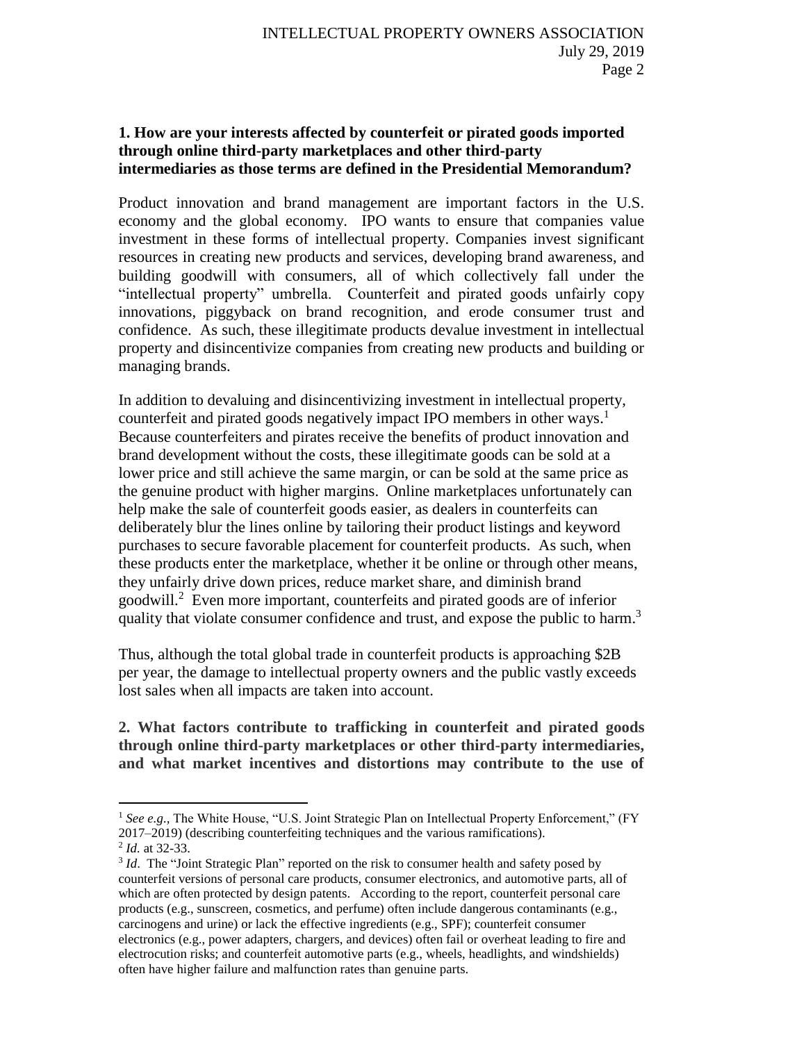# **1. How are your interests affected by counterfeit or pirated goods imported through online third-party marketplaces and other third-party intermediaries as those terms are defined in the Presidential Memorandum?**

Product innovation and brand management are important factors in the U.S. economy and the global economy. IPO wants to ensure that companies value investment in these forms of intellectual property. Companies invest significant resources in creating new products and services, developing brand awareness, and building goodwill with consumers, all of which collectively fall under the "intellectual property" umbrella. Counterfeit and pirated goods unfairly copy innovations, piggyback on brand recognition, and erode consumer trust and confidence. As such, these illegitimate products devalue investment in intellectual property and disincentivize companies from creating new products and building or managing brands.

In addition to devaluing and disincentivizing investment in intellectual property, counterfeit and pirated goods negatively impact IPO members in other ways.<sup>1</sup> Because counterfeiters and pirates receive the benefits of product innovation and brand development without the costs, these illegitimate goods can be sold at a lower price and still achieve the same margin, or can be sold at the same price as the genuine product with higher margins. Online marketplaces unfortunately can help make the sale of counterfeit goods easier, as dealers in counterfeits can deliberately blur the lines online by tailoring their product listings and keyword purchases to secure favorable placement for counterfeit products. As such, when these products enter the marketplace, whether it be online or through other means, they unfairly drive down prices, reduce market share, and diminish brand goodwill. 2 Even more important, counterfeits and pirated goods are of inferior quality that violate consumer confidence and trust, and expose the public to harm.<sup>3</sup>

Thus, although the total global trade in counterfeit products is approaching \$2B per year, the damage to intellectual property owners and the public vastly exceeds lost sales when all impacts are taken into account.

**2. What factors contribute to trafficking in counterfeit and pirated goods through online third-party marketplaces or other third-party intermediaries, and what market incentives and distortions may contribute to the use of** 

 $\overline{a}$ 

<sup>&</sup>lt;sup>1</sup> See e.g., The White House, "U.S. Joint Strategic Plan on Intellectual Property Enforcement," (FY 2017–2019) (describing counterfeiting techniques and the various ramifications).

<sup>2</sup> *Id.* at 32-33.

<sup>&</sup>lt;sup>3</sup> *Id*. The "Joint Strategic Plan" reported on the risk to consumer health and safety posed by counterfeit versions of personal care products, consumer electronics, and automotive parts, all of which are often protected by design patents. According to the report, counterfeit personal care products (e.g., sunscreen, cosmetics, and perfume) often include dangerous contaminants (e.g., carcinogens and urine) or lack the effective ingredients (e.g., SPF); counterfeit consumer electronics (e.g., power adapters, chargers, and devices) often fail or overheat leading to fire and electrocution risks; and counterfeit automotive parts (e.g., wheels, headlights, and windshields) often have higher failure and malfunction rates than genuine parts.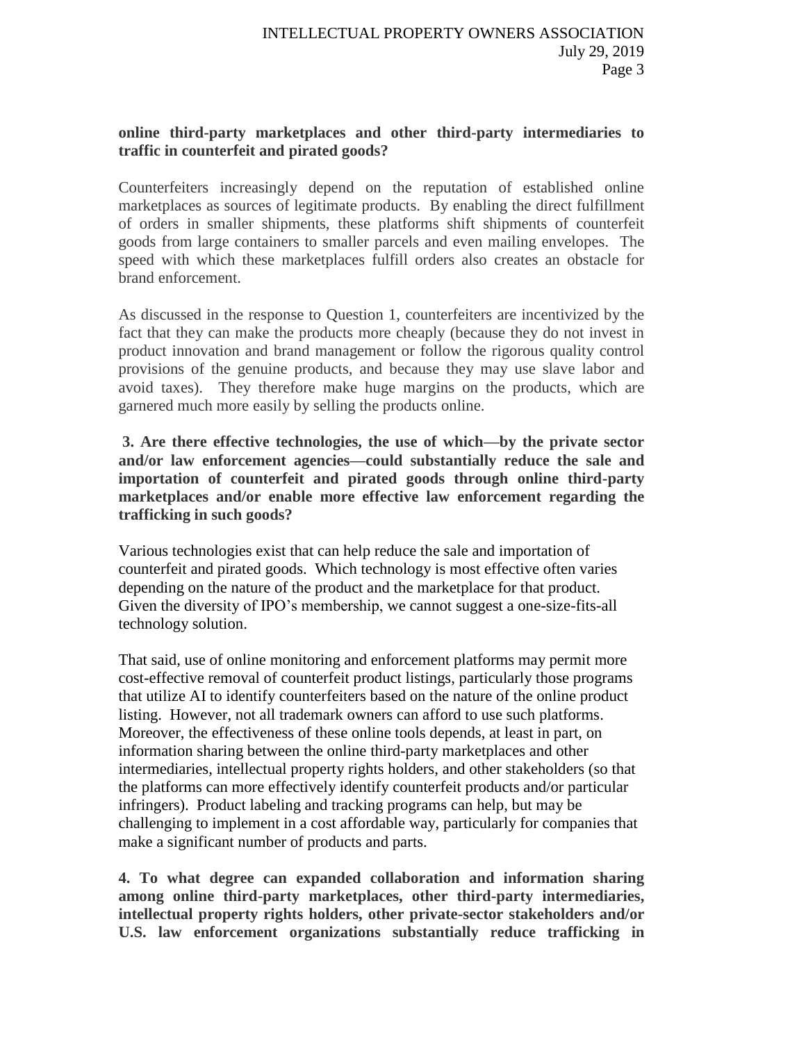#### **online third-party marketplaces and other third-party intermediaries to traffic in counterfeit and pirated goods?**

Counterfeiters increasingly depend on the reputation of established online marketplaces as sources of legitimate products. By enabling the direct fulfillment of orders in smaller shipments, these platforms shift shipments of counterfeit goods from large containers to smaller parcels and even mailing envelopes. The speed with which these marketplaces fulfill orders also creates an obstacle for brand enforcement.

As discussed in the response to Question 1, counterfeiters are incentivized by the fact that they can make the products more cheaply (because they do not invest in product innovation and brand management or follow the rigorous quality control provisions of the genuine products, and because they may use slave labor and avoid taxes). They therefore make huge margins on the products, which are garnered much more easily by selling the products online.

**3. Are there effective technologies, the use of which—by the private sector and/or law enforcement agencies—could substantially reduce the sale and importation of counterfeit and pirated goods through online third-party marketplaces and/or enable more effective law enforcement regarding the trafficking in such goods?** 

Various technologies exist that can help reduce the sale and importation of counterfeit and pirated goods. Which technology is most effective often varies depending on the nature of the product and the marketplace for that product. Given the diversity of IPO's membership, we cannot suggest a one-size-fits-all technology solution.

That said, use of online monitoring and enforcement platforms may permit more cost-effective removal of counterfeit product listings, particularly those programs that utilize AI to identify counterfeiters based on the nature of the online product listing. However, not all trademark owners can afford to use such platforms. Moreover, the effectiveness of these online tools depends, at least in part, on information sharing between the online third-party marketplaces and other intermediaries, intellectual property rights holders, and other stakeholders (so that the platforms can more effectively identify counterfeit products and/or particular infringers). Product labeling and tracking programs can help, but may be challenging to implement in a cost affordable way, particularly for companies that make a significant number of products and parts.

**4. To what degree can expanded collaboration and information sharing among online third-party marketplaces, other third-party intermediaries, intellectual property rights holders, other private-sector stakeholders and/or U.S. law enforcement organizations substantially reduce trafficking in**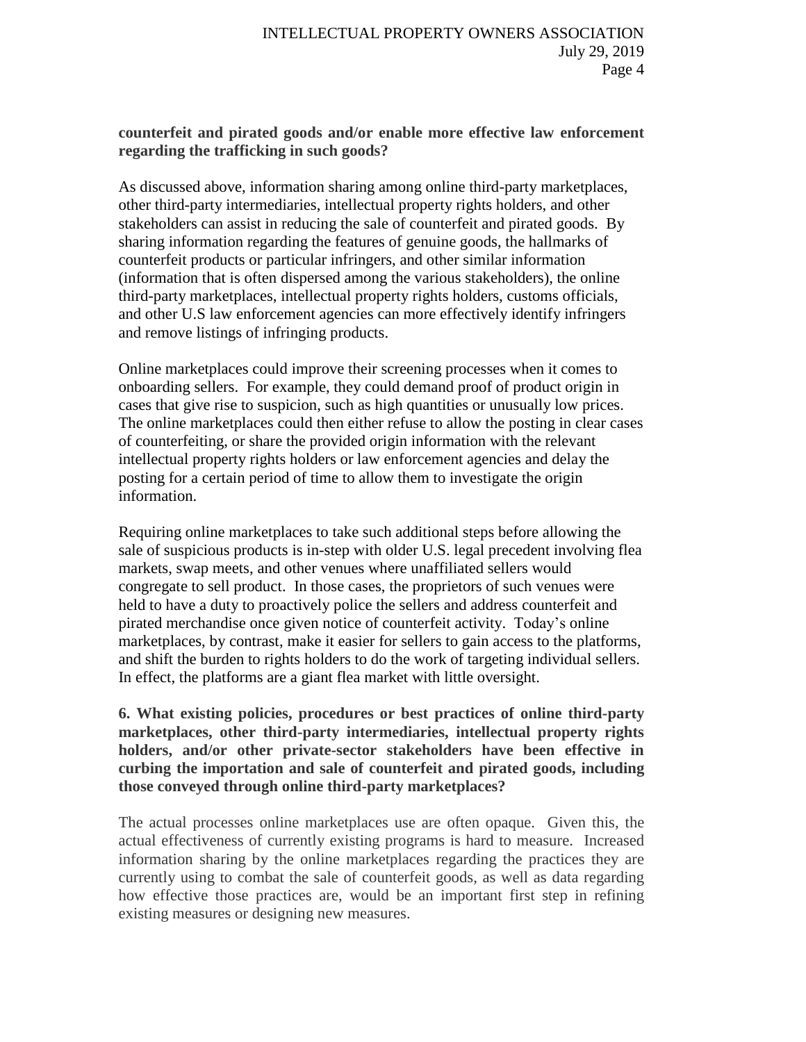#### **counterfeit and pirated goods and/or enable more effective law enforcement regarding the trafficking in such goods?**

As discussed above, information sharing among online third-party marketplaces, other third-party intermediaries, intellectual property rights holders, and other stakeholders can assist in reducing the sale of counterfeit and pirated goods. By sharing information regarding the features of genuine goods, the hallmarks of counterfeit products or particular infringers, and other similar information (information that is often dispersed among the various stakeholders), the online third-party marketplaces, intellectual property rights holders, customs officials, and other U.S law enforcement agencies can more effectively identify infringers and remove listings of infringing products.

Online marketplaces could improve their screening processes when it comes to onboarding sellers. For example, they could demand proof of product origin in cases that give rise to suspicion, such as high quantities or unusually low prices. The online marketplaces could then either refuse to allow the posting in clear cases of counterfeiting, or share the provided origin information with the relevant intellectual property rights holders or law enforcement agencies and delay the posting for a certain period of time to allow them to investigate the origin information.

Requiring online marketplaces to take such additional steps before allowing the sale of suspicious products is in-step with older U.S. legal precedent involving flea markets, swap meets, and other venues where unaffiliated sellers would congregate to sell product. In those cases, the proprietors of such venues were held to have a duty to proactively police the sellers and address counterfeit and pirated merchandise once given notice of counterfeit activity. Today's online marketplaces, by contrast, make it easier for sellers to gain access to the platforms, and shift the burden to rights holders to do the work of targeting individual sellers. In effect, the platforms are a giant flea market with little oversight.

**6. What existing policies, procedures or best practices of online third-party marketplaces, other third-party intermediaries, intellectual property rights holders, and/or other private-sector stakeholders have been effective in curbing the importation and sale of counterfeit and pirated goods, including those conveyed through online third-party marketplaces?**

The actual processes online marketplaces use are often opaque. Given this, the actual effectiveness of currently existing programs is hard to measure. Increased information sharing by the online marketplaces regarding the practices they are currently using to combat the sale of counterfeit goods, as well as data regarding how effective those practices are, would be an important first step in refining existing measures or designing new measures.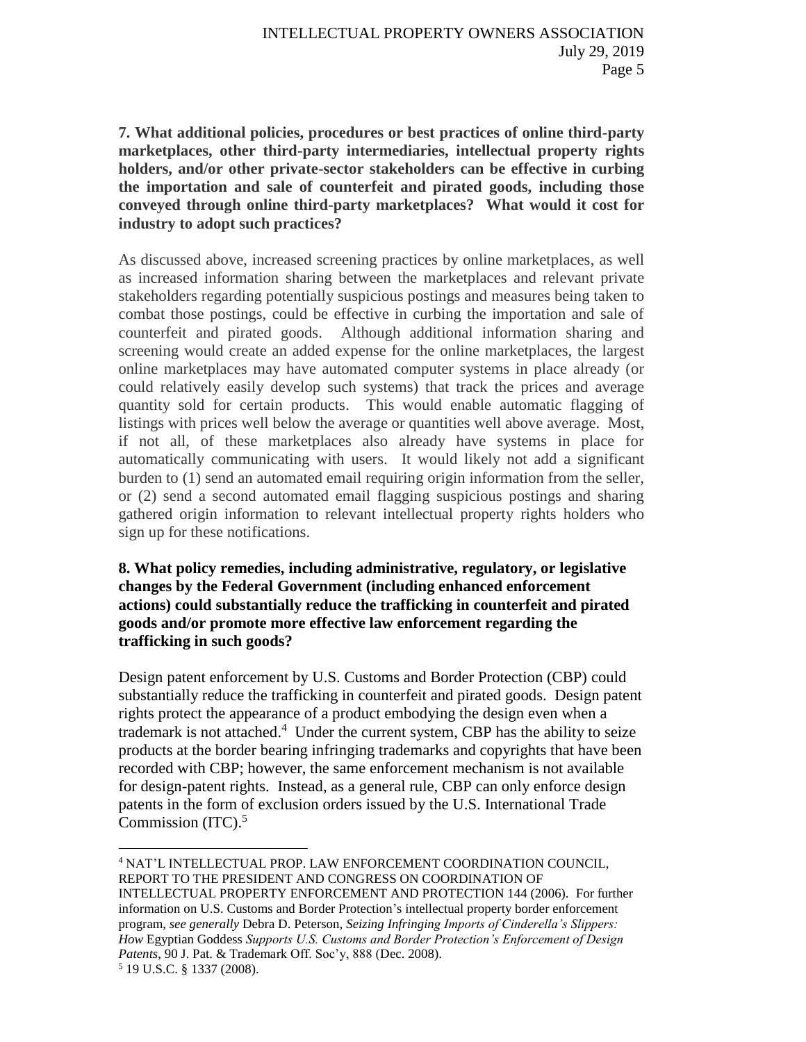**7. What additional policies, procedures or best practices of online third-party marketplaces, other third-party intermediaries, intellectual property rights holders, and/or other private-sector stakeholders can be effective in curbing the importation and sale of counterfeit and pirated goods, including those conveyed through online third-party marketplaces? What would it cost for industry to adopt such practices?**

As discussed above, increased screening practices by online marketplaces, as well as increased information sharing between the marketplaces and relevant private stakeholders regarding potentially suspicious postings and measures being taken to combat those postings, could be effective in curbing the importation and sale of counterfeit and pirated goods. Although additional information sharing and screening would create an added expense for the online marketplaces, the largest online marketplaces may have automated computer systems in place already (or could relatively easily develop such systems) that track the prices and average quantity sold for certain products. This would enable automatic flagging of listings with prices well below the average or quantities well above average. Most, if not all, of these marketplaces also already have systems in place for automatically communicating with users. It would likely not add a significant burden to (1) send an automated email requiring origin information from the seller, or (2) send a second automated email flagging suspicious postings and sharing gathered origin information to relevant intellectual property rights holders who sign up for these notifications.

## **8. What policy remedies, including administrative, regulatory, or legislative changes by the Federal Government (including enhanced enforcement actions) could substantially reduce the trafficking in counterfeit and pirated goods and/or promote more effective law enforcement regarding the trafficking in such goods?**

Design patent enforcement by U.S. Customs and Border Protection (CBP) could substantially reduce the trafficking in counterfeit and pirated goods. Design patent rights protect the appearance of a product embodying the design even when a trademark is not attached.<sup>4</sup> Under the current system, CBP has the ability to seize products at the border bearing infringing trademarks and copyrights that have been recorded with CBP; however, the same enforcement mechanism is not available for design-patent rights. Instead, as a general rule, CBP can only enforce design patents in the form of exclusion orders issued by the U.S. International Trade Commission (ITC). 5

 $\overline{a}$ <sup>4</sup> NAT'L INTELLECTUAL PROP. LAW ENFORCEMENT COORDINATION COUNCIL, REPORT TO THE PRESIDENT AND CONGRESS ON COORDINATION OF

INTELLECTUAL PROPERTY ENFORCEMENT AND PROTECTION 144 (2006). For further information on U.S. Customs and Border Protection's intellectual property border enforcement program, *see generally* Debra D. Peterson, *Seizing Infringing Imports of Cinderella's Slippers: How* Egyptian Goddess *Supports U.S. Customs and Border Protection's Enforcement of Design Patents*, 90 J. Pat. & Trademark Off. Soc'y, 888 (Dec. 2008).

<sup>5</sup> 19 U.S.C. § 1337 (2008).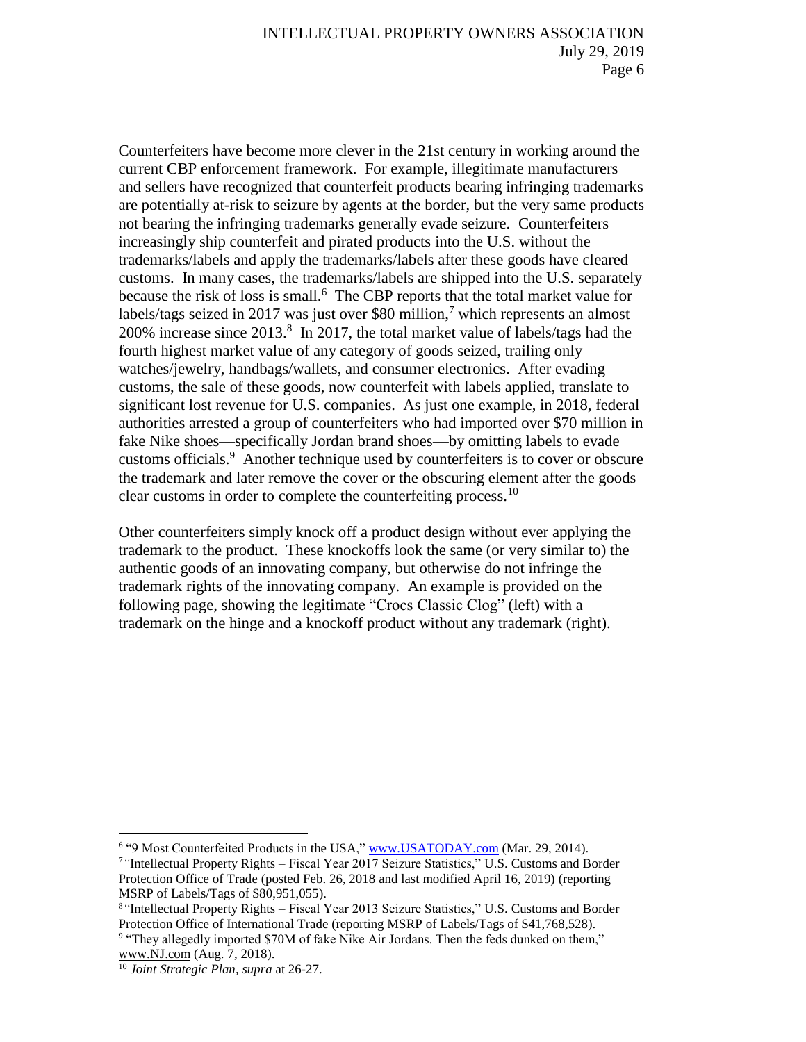Counterfeiters have become more clever in the 21st century in working around the current CBP enforcement framework. For example, illegitimate manufacturers and sellers have recognized that counterfeit products bearing infringing trademarks are potentially at-risk to seizure by agents at the border, but the very same products not bearing the infringing trademarks generally evade seizure. Counterfeiters increasingly ship counterfeit and pirated products into the U.S. without the trademarks/labels and apply the trademarks/labels after these goods have cleared customs. In many cases, the trademarks/labels are shipped into the U.S. separately because the risk of loss is small.<sup>6</sup> The CBP reports that the total market value for labels/tags seized in 2017 was just over \$80 million, <sup>7</sup> which represents an almost 200% increase since 2013.<sup>8</sup> In 2017, the total market value of labels/tags had the fourth highest market value of any category of goods seized, trailing only watches/jewelry, handbags/wallets, and consumer electronics. After evading customs, the sale of these goods, now counterfeit with labels applied, translate to significant lost revenue for U.S. companies. As just one example, in 2018, federal authorities arrested a group of counterfeiters who had imported over \$70 million in fake Nike shoes—specifically Jordan brand shoes—by omitting labels to evade customs officials.<sup>9</sup> Another technique used by counterfeiters is to cover or obscure the trademark and later remove the cover or the obscuring element after the goods clear customs in order to complete the counterfeiting process.<sup>10</sup>

Other counterfeiters simply knock off a product design without ever applying the trademark to the product. These knockoffs look the same (or very similar to) the authentic goods of an innovating company, but otherwise do not infringe the trademark rights of the innovating company. An example is provided on the following page, showing the legitimate "Crocs Classic Clog" (left) with a trademark on the hinge and a knockoff product without any trademark (right).

 $\overline{a}$ 

<sup>&</sup>lt;sup>6</sup> "9 Most Counterfeited Products in the USA," [www.USATODAY.com](http://www.usatoday.com/) (Mar. 29, 2014).

<sup>7</sup>*"*Intellectual Property Rights – Fiscal Year 2017 Seizure Statistics," U.S. Customs and Border Protection Office of Trade (posted Feb. 26, 2018 and last modified April 16, 2019) (reporting MSRP of Labels/Tags of \$80,951,055).

<sup>8</sup>*"*Intellectual Property Rights – Fiscal Year 2013 Seizure Statistics," U.S. Customs and Border Protection Office of International Trade (reporting MSRP of Labels/Tags of \$41,768,528).

<sup>&</sup>lt;sup>9</sup> "They allegedly imported \$70M of fake Nike Air Jordans. Then the feds dunked on them," [www.NJ.com](http://www.nj.com/) (Aug. 7, 2018).

<sup>10</sup> *Joint Strategic Plan, supra* at 26-27.